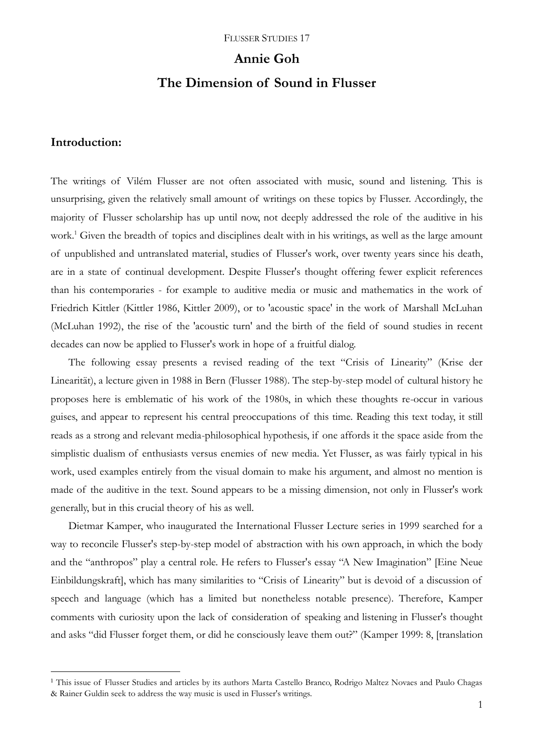### **Annie Goh**

# **The Dimension of Sound in Flusser**

### **Introduction:**

1

The writings of Vilém Flusser are not often associated with music, sound and listening. This is unsurprising, given the relatively small amount of writings on these topics by Flusser. Accordingly, the majority of Flusser scholarship has up until now, not deeply addressed the role of the auditive in his work.<sup>1</sup> Given the breadth of topics and disciplines dealt with in his writings, as well as the large amount of unpublished and untranslated material, studies of Flusser's work, over twenty years since his death, are in a state of continual development. Despite Flusser's thought offering fewer explicit references than his contemporaries - for example to auditive media or music and mathematics in the work of Friedrich Kittler (Kittler 1986, Kittler 2009), or to 'acoustic space' in the work of Marshall McLuhan (McLuhan 1992), the rise of the 'acoustic turn' and the birth of the field of sound studies in recent decades can now be applied to Flusser's work in hope of a fruitful dialog.

The following essay presents a revised reading of the text "Crisis of Linearity" (Krise der Linearität), a lecture given in 1988 in Bern (Flusser 1988). The step-by-step model of cultural history he proposes here is emblematic of his work of the 1980s, in which these thoughts re-occur in various guises, and appear to represent his central preoccupations of this time. Reading this text today, it still reads as a strong and relevant media-philosophical hypothesis, if one affords it the space aside from the simplistic dualism of enthusiasts versus enemies of new media. Yet Flusser, as was fairly typical in his work, used examples entirely from the visual domain to make his argument, and almost no mention is made of the auditive in the text. Sound appears to be a missing dimension, not only in Flusser's work generally, but in this crucial theory of his as well.

Dietmar Kamper, who inaugurated the International Flusser Lecture series in 1999 searched for a way to reconcile Flusser's step-by-step model of abstraction with his own approach, in which the body and the "anthropos" play a central role. He refers to Flusser's essay "A New Imagination" [Eine Neue Einbildungskraft], which has many similarities to "Crisis of Linearity" but is devoid of a discussion of speech and language (which has a limited but nonetheless notable presence). Therefore, Kamper comments with curiosity upon the lack of consideration of speaking and listening in Flusser's thought and asks "did Flusser forget them, or did he consciously leave them out?" (Kamper 1999: 8, [translation

<sup>&</sup>lt;sup>1</sup> This issue of Flusser Studies and articles by its authors Marta Castello Branco, Rodrigo Maltez Novaes and Paulo Chagas & Rainer Guldin seek to address the way music is used in Flusser's writings.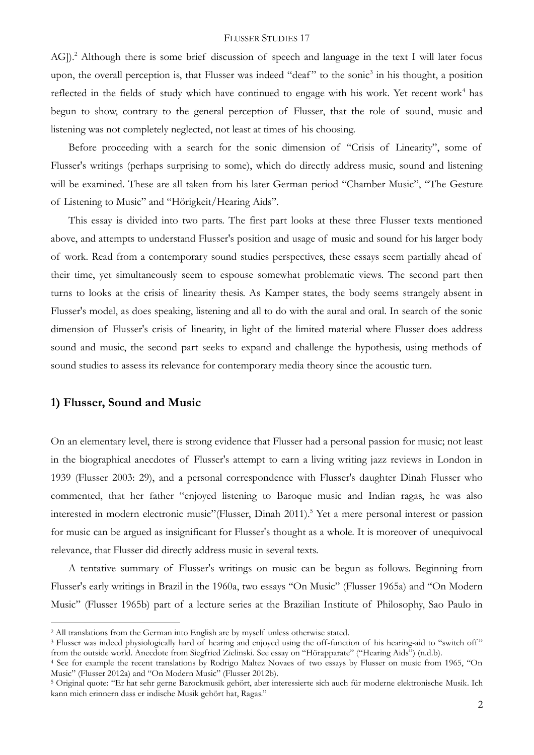AG]).<sup>2</sup> Although there is some brief discussion of speech and language in the text I will later focus upon, the overall perception is, that Flusser was indeed "deaf" to the sonic<sup>3</sup> in his thought, a position reflected in the fields of study which have continued to engage with his work. Yet recent work<sup>4</sup> has begun to show, contrary to the general perception of Flusser, that the role of sound, music and listening was not completely neglected, not least at times of his choosing.

Before proceeding with a search for the sonic dimension of "Crisis of Linearity", some of Flusser's writings (perhaps surprising to some), which do directly address music, sound and listening will be examined. These are all taken from his later German period "Chamber Music", "The Gesture of Listening to Music" and "Hörigkeit/Hearing Aids".

This essay is divided into two parts. The first part looks at these three Flusser texts mentioned above, and attempts to understand Flusser's position and usage of music and sound for his larger body of work. Read from a contemporary sound studies perspectives, these essays seem partially ahead of their time, yet simultaneously seem to espouse somewhat problematic views. The second part then turns to looks at the crisis of linearity thesis. As Kamper states, the body seems strangely absent in Flusser's model, as does speaking, listening and all to do with the aural and oral. In search of the sonic dimension of Flusser's crisis of linearity, in light of the limited material where Flusser does address sound and music, the second part seeks to expand and challenge the hypothesis, using methods of sound studies to assess its relevance for contemporary media theory since the acoustic turn.

### **1) Flusser, Sound and Music**

1

On an elementary level, there is strong evidence that Flusser had a personal passion for music; not least in the biographical anecdotes of Flusser's attempt to earn a living writing jazz reviews in London in 1939 (Flusser 2003: 29), and a personal correspondence with Flusser's daughter Dinah Flusser who commented, that her father "enjoyed listening to Baroque music and Indian ragas, he was also interested in modern electronic music"(Flusser, Dinah 2011).<sup>5</sup> Yet a mere personal interest or passion for music can be argued as insignificant for Flusser's thought as a whole. It is moreover of unequivocal relevance, that Flusser did directly address music in several texts.

A tentative summary of Flusser's writings on music can be begun as follows. Beginning from Flusser's early writings in Brazil in the 1960a, two essays "On Music" (Flusser 1965a) and "On Modern Music" (Flusser 1965b) part of a lecture series at the Brazilian Institute of Philosophy, Sao Paulo in

<sup>&</sup>lt;sup>2</sup> All translations from the German into English are by myself unless otherwise stated.

<sup>&</sup>lt;sup>3</sup> Flusser was indeed physiologically hard of hearing and enjoyed using the off-function of his hearing-aid to "switch off" from the outside world. Anecdote from Siegfried Zielinski. See essay on "Hörapparate" ("Hearing Aids") (n.d.b).

<sup>4</sup> See for example the recent translations by Rodrigo Maltez Novaes of two essays by Flusser on music from 1965, "On Music" (Flusser 2012a) and "On Modern Music" (Flusser 2012b).

<sup>5</sup> Original quote: "Er hat sehr gerne Barockmusik gehört, aber interessierte sich auch für moderne elektronische Musik. Ich kann mich erinnern dass er indische Musik gehört hat, Ragas."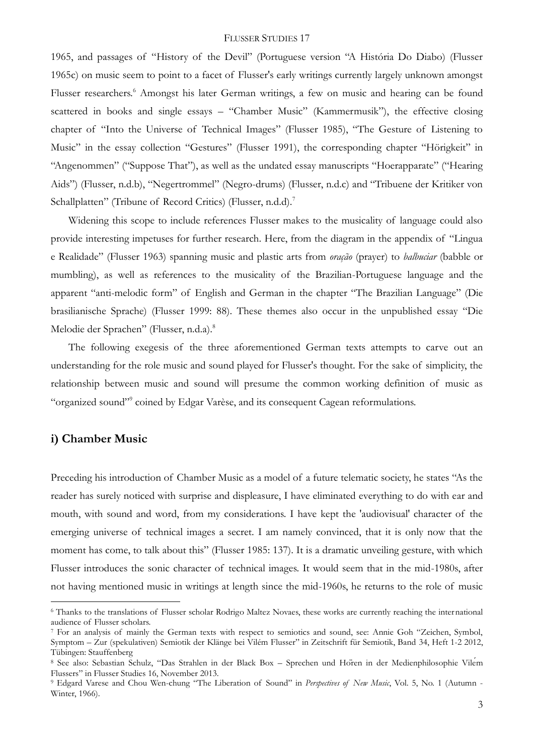1965, and passages of "History of the Devil" (Portuguese version "A História Do Diabo) (Flusser 1965c) on music seem to point to a facet of Flusser's early writings currently largely unknown amongst Flusser researchers.<sup>6</sup> Amongst his later German writings, a few on music and hearing can be found scattered in books and single essays – "Chamber Music" (Kammermusik"), the effective closing chapter of "Into the Universe of Technical Images" (Flusser 1985), "The Gesture of Listening to Music" in the essay collection "Gestures" (Flusser 1991), the corresponding chapter "Hörigkeit" in "Angenommen" ("Suppose That"), as well as the undated essay manuscripts "Hoerapparate" ("Hearing Aids") (Flusser, n.d.b), "Negertrommel" (Negro-drums) (Flusser, n.d.c) and "Tribuene der Kritiker von Schallplatten" (Tribune of Record Critics) (Flusser, n.d.d).<sup>7</sup>

Widening this scope to include references Flusser makes to the musicality of language could also provide interesting impetuses for further research. Here, from the diagram in the appendix of "Lingua e Realidade" (Flusser 1963) spanning music and plastic arts from *oração* (prayer) to *balbuciar* (babble or mumbling), as well as references to the musicality of the Brazilian-Portuguese language and the apparent "anti-melodic form" of English and German in the chapter "The Brazilian Language" (Die brasilianische Sprache) (Flusser 1999: 88). These themes also occur in the unpublished essay "Die Melodie der Sprachen" (Flusser, n.d.a).<sup>8</sup>

The following exegesis of the three aforementioned German texts attempts to carve out an understanding for the role music and sound played for Flusser's thought. For the sake of simplicity, the relationship between music and sound will presume the common working definition of music as "organized sound"<sup>9</sup> coined by Edgar Varèse, and its consequent Cagean reformulations.

# **i) Chamber Music**

1

Preceding his introduction of Chamber Music as a model of a future telematic society, he states "As the reader has surely noticed with surprise and displeasure, I have eliminated everything to do with ear and mouth, with sound and word, from my considerations. I have kept the 'audiovisual' character of the emerging universe of technical images a secret. I am namely convinced, that it is only now that the moment has come, to talk about this" (Flusser 1985: 137). It is a dramatic unveiling gesture, with which Flusser introduces the sonic character of technical images. It would seem that in the mid-1980s, after not having mentioned music in writings at length since the mid-1960s, he returns to the role of music

<sup>6</sup> Thanks to the translations of Flusser scholar Rodrigo Maltez Novaes, these works are currently reaching the international audience of Flusser scholars.

<sup>7</sup> For an analysis of mainly the German texts with respect to semiotics and sound, see: Annie Goh "Zeichen, Symbol, Symptom – Zur (spekulativen) Semiotik der Klänge bei Vilém Flusser" in Zeitschrift für Semiotik, Band 34, Heft 1-2 2012, Tübingen: Stauffenberg

<sup>8</sup> See also: Sebastian Schulz, "Das Strahlen in der Black Box – Sprechen und Hören in der Medienphilosophie Vilém Flussers" in Flusser Studies 16, November 2013.

<sup>9</sup> Edgard Varese and Chou Wen-chung "The Liberation of Sound" in *Perspectives of New Music*, Vol. 5, No. 1 (Autumn - Winter, 1966).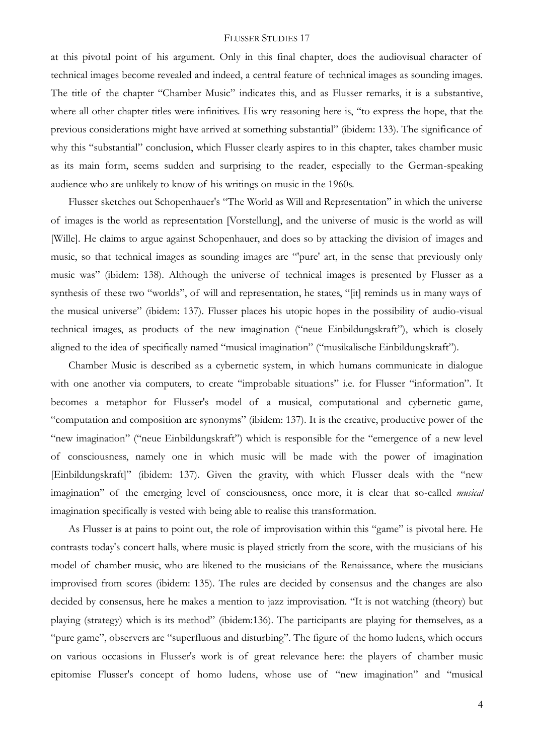at this pivotal point of his argument. Only in this final chapter, does the audiovisual character of technical images become revealed and indeed, a central feature of technical images as sounding images. The title of the chapter "Chamber Music" indicates this, and as Flusser remarks, it is a substantive, where all other chapter titles were infinitives. His wry reasoning here is, "to express the hope, that the previous considerations might have arrived at something substantial" (ibidem: 133). The significance of why this "substantial" conclusion, which Flusser clearly aspires to in this chapter, takes chamber music as its main form, seems sudden and surprising to the reader, especially to the German-speaking audience who are unlikely to know of his writings on music in the 1960s.

Flusser sketches out Schopenhauer's "The World as Will and Representation" in which the universe of images is the world as representation [Vorstellung], and the universe of music is the world as will [Wille]. He claims to argue against Schopenhauer, and does so by attacking the division of images and music, so that technical images as sounding images are "'pure' art, in the sense that previously only music was" (ibidem: 138). Although the universe of technical images is presented by Flusser as a synthesis of these two "worlds", of will and representation, he states, "[it] reminds us in many ways of the musical universe" (ibidem: 137). Flusser places his utopic hopes in the possibility of audio-visual technical images, as products of the new imagination ("neue Einbildungskraft"), which is closely aligned to the idea of specifically named "musical imagination" ("musikalische Einbildungskraft").

Chamber Music is described as a cybernetic system, in which humans communicate in dialogue with one another via computers, to create "improbable situations" i.e. for Flusser "information". It becomes a metaphor for Flusser's model of a musical, computational and cybernetic game, "computation and composition are synonyms" (ibidem: 137). It is the creative, productive power of the "new imagination" ("neue Einbildungskraft") which is responsible for the "emergence of a new level of consciousness, namely one in which music will be made with the power of imagination [Einbildungskraft]" (ibidem: 137). Given the gravity, with which Flusser deals with the "new imagination" of the emerging level of consciousness, once more, it is clear that so-called *musical* imagination specifically is vested with being able to realise this transformation.

As Flusser is at pains to point out, the role of improvisation within this "game" is pivotal here. He contrasts today's concert halls, where music is played strictly from the score, with the musicians of his model of chamber music, who are likened to the musicians of the Renaissance, where the musicians improvised from scores (ibidem: 135). The rules are decided by consensus and the changes are also decided by consensus, here he makes a mention to jazz improvisation. "It is not watching (theory) but playing (strategy) which is its method" (ibidem:136). The participants are playing for themselves, as a "pure game", observers are "superfluous and disturbing". The figure of the homo ludens, which occurs on various occasions in Flusser's work is of great relevance here: the players of chamber music epitomise Flusser's concept of homo ludens, whose use of "new imagination" and "musical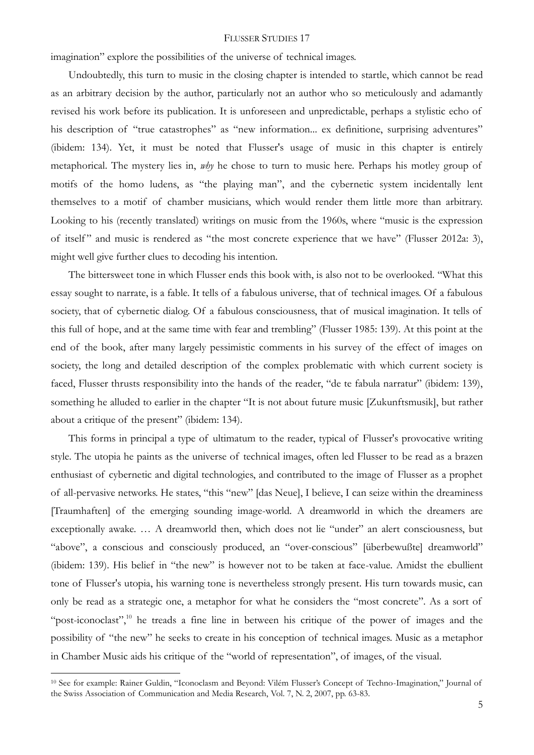imagination" explore the possibilities of the universe of technical images.

Undoubtedly, this turn to music in the closing chapter is intended to startle, which cannot be read as an arbitrary decision by the author, particularly not an author who so meticulously and adamantly revised his work before its publication. It is unforeseen and unpredictable, perhaps a stylistic echo of his description of "true catastrophes" as "new information... ex definitione, surprising adventures" (ibidem: 134). Yet, it must be noted that Flusser's usage of music in this chapter is entirely metaphorical. The mystery lies in, *why* he chose to turn to music here. Perhaps his motley group of motifs of the homo ludens, as "the playing man", and the cybernetic system incidentally lent themselves to a motif of chamber musicians, which would render them little more than arbitrary. Looking to his (recently translated) writings on music from the 1960s, where "music is the expression of itself" and music is rendered as "the most concrete experience that we have" (Flusser 2012a: 3), might well give further clues to decoding his intention.

The bittersweet tone in which Flusser ends this book with, is also not to be overlooked. "What this essay sought to narrate, is a fable. It tells of a fabulous universe, that of technical images. Of a fabulous society, that of cybernetic dialog. Of a fabulous consciousness, that of musical imagination. It tells of this full of hope, and at the same time with fear and trembling" (Flusser 1985: 139). At this point at the end of the book, after many largely pessimistic comments in his survey of the effect of images on society, the long and detailed description of the complex problematic with which current society is faced, Flusser thrusts responsibility into the hands of the reader, "de te fabula narratur" (ibidem: 139), something he alluded to earlier in the chapter "It is not about future music [Zukunftsmusik], but rather about a critique of the present" (ibidem: 134).

This forms in principal a type of ultimatum to the reader, typical of Flusser's provocative writing style. The utopia he paints as the universe of technical images, often led Flusser to be read as a brazen enthusiast of cybernetic and digital technologies, and contributed to the image of Flusser as a prophet of all-pervasive networks. He states, "this "new" [das Neue], I believe, I can seize within the dreaminess [Traumhaften] of the emerging sounding image-world. A dreamworld in which the dreamers are exceptionally awake. … A dreamworld then, which does not lie "under" an alert consciousness, but "above", a conscious and consciously produced, an "over-conscious" [überbewußte] dreamworld" (ibidem: 139). His belief in "the new" is however not to be taken at face-value. Amidst the ebullient tone of Flusser's utopia, his warning tone is nevertheless strongly present. His turn towards music, can only be read as a strategic one, a metaphor for what he considers the "most concrete". As a sort of "post-iconoclast",<sup>10</sup> he treads a fine line in between his critique of the power of images and the possibility of "the new" he seeks to create in his conception of technical images. Music as a metaphor in Chamber Music aids his critique of the "world of representation", of images, of the visual.

<u>.</u>

<sup>10</sup> See for example: Rainer Guldin, "Iconoclasm and Beyond: Vilém Flusser's Concept of Techno-Imagination," Journal of the Swiss Association of Communication and Media Research, Vol. 7, N. 2, 2007, pp. 63-83.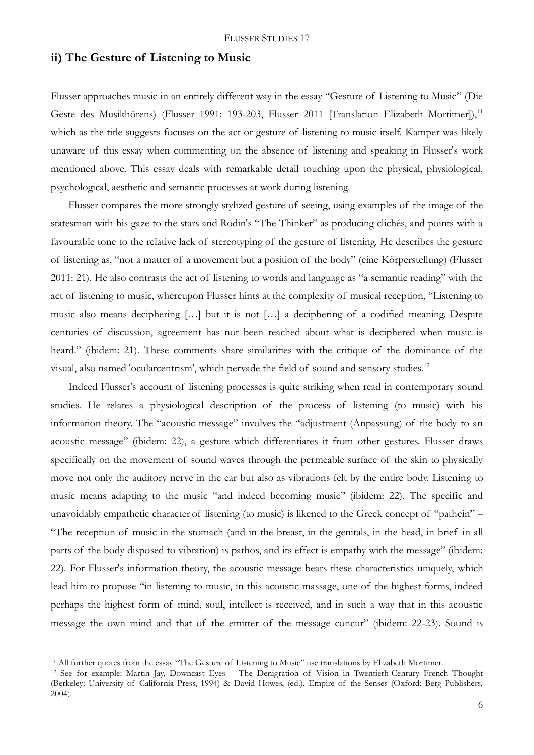### **ii) The Gesture of Listening to Music**

Flusser approaches music in an entirely different way in the essay "Gesture of Listening to Music" (Die Geste des Musikhörens) (Flusser 1991: 193-203, Flusser 2011 [Translation Elizabeth Mortimer]),<sup>11</sup> which as the title suggests focuses on the act or gesture of listening to music itself. Kamper was likely unaware of this essay when commenting on the absence of listening and speaking in Flusser's work mentioned above. This essay deals with remarkable detail touching upon the physical, physiological, psychological, aesthetic and semantic processes at work during listening.

Flusser compares the more strongly stylized gesture of seeing, using examples of the image of the statesman with his gaze to the stars and Rodin's "The Thinker" as producing clichés, and points with a favourable tone to the relative lack of stereotyping of the gesture of listening. He describes the gesture of listening as, "not a matter of a movement but a position of the body" (eine Körperstellung) (Flusser 2011: 21). He also contrasts the act of listening to words and language as "a semantic reading" with the act of listening to music, whereupon Flusser hints at the complexity of musical reception, "Listening to music also means deciphering […] but it is not […] a deciphering of a codified meaning. Despite centuries of discussion, agreement has not been reached about what is deciphered when music is heard." (ibidem: 21). These comments share similarities with the critique of the dominance of the visual, also named 'ocularcentrism', which pervade the field of sound and sensory studies.<sup>12</sup>

Indeed Flusser's account of listening processes is quite striking when read in contemporary sound studies. He relates a physiological description of the process of listening (to music) with his information theory. The "acoustic message" involves the "adjustment (Anpassung) of the body to an acoustic message" (ibidem: 22), a gesture which differentiates it from other gestures. Flusser draws specifically on the movement of sound waves through the permeable surface of the skin to physically move not only the auditory nerve in the ear but also as vibrations felt by the entire body. Listening to music means adapting to the music "and indeed becoming music" (ibidem: 22). The specific and unavoidably empathetic character of listening (to music) is likened to the Greek concept of "pathein" – "The reception of music in the stomach (and in the breast, in the genitals, in the head, in brief in all parts of the body disposed to vibration) is pathos, and its effect is empathy with the message" (ibidem: 22). For Flusser's information theory, the acoustic message bears these characteristics uniquely, which lead him to propose "in listening to music, in this acoustic massage, one of the highest forms, indeed perhaps the highest form of mind, soul, intellect is received, and in such a way that in this acoustic message the own mind and that of the emitter of the message concur" (ibidem: 22-23). Sound is

<sup>&</sup>lt;sup>11</sup> All further quotes from the essay "The Gesture of Listening to Music" use translations by Elizabeth Mortimer.

<sup>12</sup> See for example: Martin Jay, Downcast Eyes – The Denigration of Vision in Twentieth-Century French Thought (Berkeley: University of California Press, 1994) & David Howes, (ed.), Empire of the Senses (Oxford: Berg Publishers, 2004).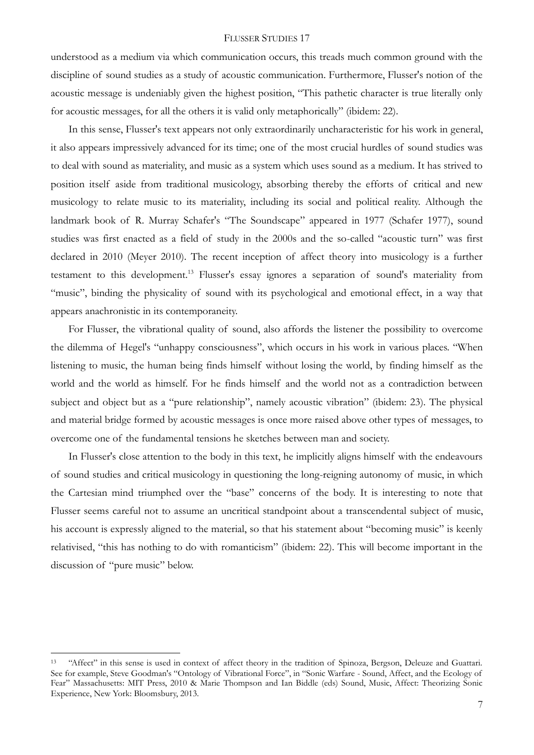understood as a medium via which communication occurs, this treads much common ground with the discipline of sound studies as a study of acoustic communication. Furthermore, Flusser's notion of the acoustic message is undeniably given the highest position, "This pathetic character is true literally only for acoustic messages, for all the others it is valid only metaphorically" (ibidem: 22).

In this sense, Flusser's text appears not only extraordinarily uncharacteristic for his work in general, it also appears impressively advanced for its time; one of the most crucial hurdles of sound studies was to deal with sound as materiality, and music as a system which uses sound as a medium. It has strived to position itself aside from traditional musicology, absorbing thereby the efforts of critical and new musicology to relate music to its materiality, including its social and political reality. Although the landmark book of R. Murray Schafer's "The Soundscape" appeared in 1977 (Schafer 1977), sound studies was first enacted as a field of study in the 2000s and the so-called "acoustic turn" was first declared in 2010 (Meyer 2010). The recent inception of affect theory into musicology is a further testament to this development.<sup>13</sup> Flusser's essay ignores a separation of sound's materiality from "music", binding the physicality of sound with its psychological and emotional effect, in a way that appears anachronistic in its contemporaneity.

For Flusser, the vibrational quality of sound, also affords the listener the possibility to overcome the dilemma of Hegel's "unhappy consciousness", which occurs in his work in various places. "When listening to music, the human being finds himself without losing the world, by finding himself as the world and the world as himself. For he finds himself and the world not as a contradiction between subject and object but as a "pure relationship", namely acoustic vibration" (ibidem: 23). The physical and material bridge formed by acoustic messages is once more raised above other types of messages, to overcome one of the fundamental tensions he sketches between man and society.

In Flusser's close attention to the body in this text, he implicitly aligns himself with the endeavours of sound studies and critical musicology in questioning the long-reigning autonomy of music, in which the Cartesian mind triumphed over the "base" concerns of the body. It is interesting to note that Flusser seems careful not to assume an uncritical standpoint about a transcendental subject of music, his account is expressly aligned to the material, so that his statement about "becoming music" is keenly relativised, "this has nothing to do with romanticism" (ibidem: 22). This will become important in the discussion of "pure music" below.

<sup>13</sup> "Affect" in this sense is used in context of affect theory in the tradition of Spinoza, Bergson, Deleuze and Guattari. See for example, Steve Goodman's "Ontology of Vibrational Force", in "Sonic Warfare - Sound, Affect, and the Ecology of Fear" Massachusetts: MIT Press, 2010 & Marie Thompson and Ian Biddle (eds) Sound, Music, Affect: Theorizing Sonic Experience, New York: Bloomsbury, 2013.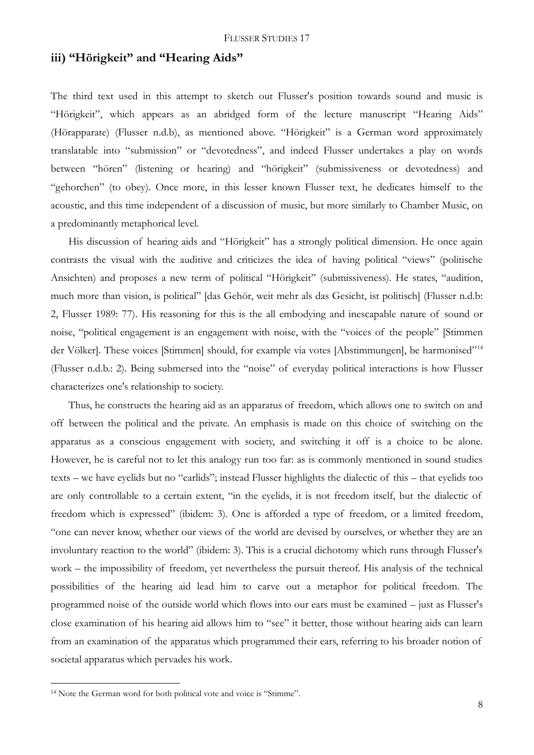# **iii) "Hörigkeit" and "Hearing Aids"**

The third text used in this attempt to sketch out Flusser's position towards sound and music is "Hörigkeit", which appears as an abridged form of the lecture manuscript "Hearing Aids" (Hörapparate) (Flusser n.d.b), as mentioned above. "Hörigkeit" is a German word approximately translatable into "submission" or "devotedness", and indeed Flusser undertakes a play on words between "hören" (listening or hearing) and "hörigkeit" (submissiveness or devotedness) and "gehorchen" (to obey). Once more, in this lesser known Flusser text, he dedicates himself to the acoustic, and this time independent of a discussion of music, but more similarly to Chamber Music, on a predominantly metaphorical level.

His discussion of hearing aids and "Hörigkeit" has a strongly political dimension. He once again contrasts the visual with the auditive and criticizes the idea of having political "views" (politische Ansichten) and proposes a new term of political "Hörigkeit" (submissiveness). He states, "audition, much more than vision, is political" [das Gehör, weit mehr als das Gesicht, ist politisch] (Flusser n.d.b: 2, Flusser 1989: 77). His reasoning for this is the all embodying and inescapable nature of sound or noise, "political engagement is an engagement with noise, with the "voices of the people" [Stimmen der Völker]. These voices [Stimmen] should, for example via votes [Abstimmungen], be harmonised"<sup>14</sup> (Flusser n.d.b.: 2). Being submersed into the "noise" of everyday political interactions is how Flusser characterizes one's relationship to society.

Thus, he constructs the hearing aid as an apparatus of freedom, which allows one to switch on and off between the political and the private. An emphasis is made on this choice of switching on the apparatus as a conscious engagement with society, and switching it off is a choice to be alone. However, he is careful not to let this analogy run too far: as is commonly mentioned in sound studies texts – we have eyelids but no "earlids"; instead Flusser highlights the dialectic of this – that eyelids too are only controllable to a certain extent, "in the eyelids, it is not freedom itself, but the dialectic of freedom which is expressed" (ibidem: 3). One is afforded a type of freedom, or a limited freedom, "one can never know, whether our views of the world are devised by ourselves, or whether they are an involuntary reaction to the world" (ibidem: 3). This is a crucial dichotomy which runs through Flusser's work – the impossibility of freedom, yet nevertheless the pursuit thereof. His analysis of the technical possibilities of the hearing aid lead him to carve out a metaphor for political freedom. The programmed noise of the outside world which flows into our ears must be examined – just as Flusser's close examination of his hearing aid allows him to "see" it better, those without hearing aids can learn from an examination of the apparatus which programmed their ears, referring to his broader notion of societal apparatus which pervades his work.

<sup>14</sup> Note the German word for both political vote and voice is "Stimme".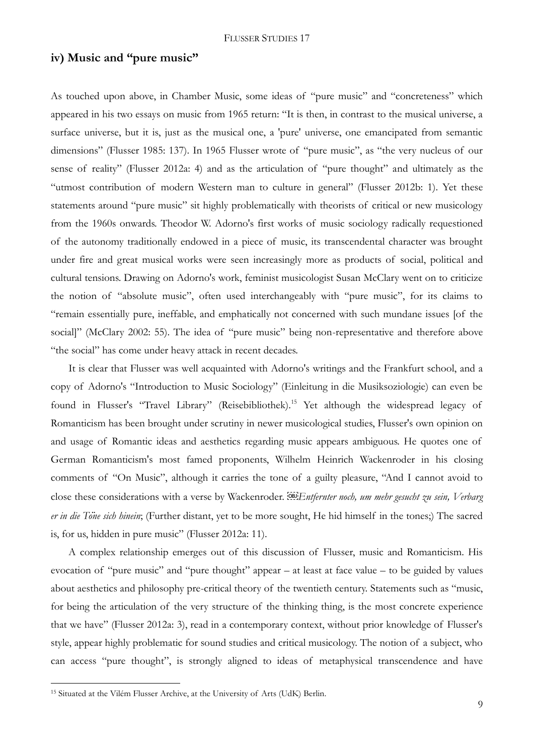# **iv) Music and "pure music"**

As touched upon above, in Chamber Music, some ideas of "pure music" and "concreteness" which appeared in his two essays on music from 1965 return: "It is then, in contrast to the musical universe, a surface universe, but it is, just as the musical one, a 'pure' universe, one emancipated from semantic dimensions" (Flusser 1985: 137). In 1965 Flusser wrote of "pure music", as "the very nucleus of our sense of reality" (Flusser 2012a: 4) and as the articulation of "pure thought" and ultimately as the "utmost contribution of modern Western man to culture in general" (Flusser 2012b: 1). Yet these statements around "pure music" sit highly problematically with theorists of critical or new musicology from the 1960s onwards. Theodor W. Adorno's first works of music sociology radically requestioned of the autonomy traditionally endowed in a piece of music, its transcendental character was brought under fire and great musical works were seen increasingly more as products of social, political and cultural tensions. Drawing on Adorno's work, feminist musicologist Susan McClary went on to criticize the notion of "absolute music", often used interchangeably with "pure music", for its claims to "remain essentially pure, ineffable, and emphatically not concerned with such mundane issues [of the social]" (McClary 2002: 55). The idea of "pure music" being non-representative and therefore above "the social" has come under heavy attack in recent decades.

It is clear that Flusser was well acquainted with Adorno's writings and the Frankfurt school, and a copy of Adorno's "Introduction to Music Sociology" (Einleitung in die Musiksoziologie) can even be found in Flusser's "Travel Library" (Reisebibliothek).<sup>15</sup> Yet although the widespread legacy of Romanticism has been brought under scrutiny in newer musicological studies, Flusser's own opinion on and usage of Romantic ideas and aesthetics regarding music appears ambiguous. He quotes one of German Romanticism's most famed proponents, Wilhelm Heinrich Wackenroder in his closing comments of "On Music", although it carries the tone of a guilty pleasure, "And I cannot avoid to close these considerations with a verse by Wackenroder. *Entfernter noch, um mehr gesucht zu sein, Verbarg er in die Töne sich hinein*; (Further distant, yet to be more sought, He hid himself in the tones;) The sacred is, for us, hidden in pure music" (Flusser 2012a: 11).

A complex relationship emerges out of this discussion of Flusser, music and Romanticism. His evocation of "pure music" and "pure thought" appear – at least at face value – to be guided by values about aesthetics and philosophy pre-critical theory of the twentieth century. Statements such as "music, for being the articulation of the very structure of the thinking thing, is the most concrete experience that we have" (Flusser 2012a: 3), read in a contemporary context, without prior knowledge of Flusser's style, appear highly problematic for sound studies and critical musicology. The notion of a subject, who can access "pure thought", is strongly aligned to ideas of metaphysical transcendence and have

<sup>15</sup> Situated at the Vilém Flusser Archive, at the University of Arts (UdK) Berlin.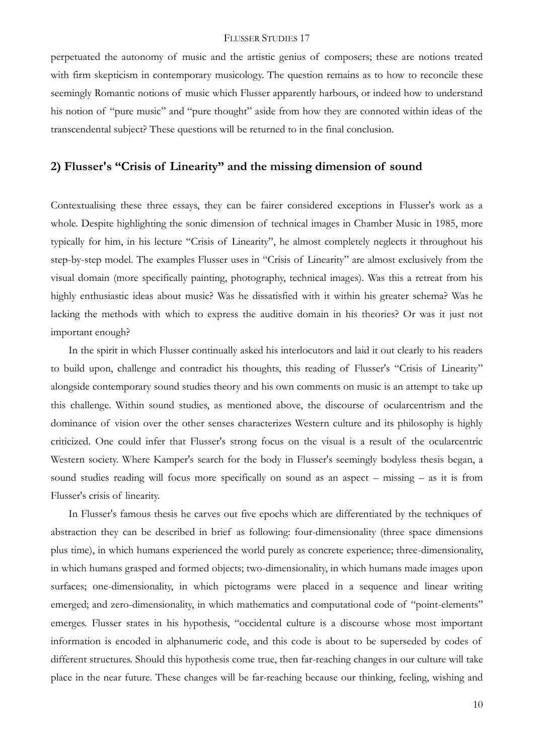perpetuated the autonomy of music and the artistic genius of composers; these are notions treated with firm skepticism in contemporary musicology. The question remains as to how to reconcile these seemingly Romantic notions of music which Flusser apparently harbours, or indeed how to understand his notion of "pure music" and "pure thought" aside from how they are connoted within ideas of the transcendental subject? These questions will be returned to in the final conclusion.

# **2) Flusser's "Crisis of Linearity" and the missing dimension of sound**

Contextualising these three essays, they can be fairer considered exceptions in Flusser's work as a whole. Despite highlighting the sonic dimension of technical images in Chamber Music in 1985, more typically for him, in his lecture "Crisis of Linearity", he almost completely neglects it throughout his step-by-step model. The examples Flusser uses in "Crisis of Linearity" are almost exclusively from the visual domain (more specifically painting, photography, technical images). Was this a retreat from his highly enthusiastic ideas about music? Was he dissatisfied with it within his greater schema? Was he lacking the methods with which to express the auditive domain in his theories? Or was it just not important enough?

In the spirit in which Flusser continually asked his interlocutors and laid it out clearly to his readers to build upon, challenge and contradict his thoughts, this reading of Flusser's "Crisis of Linearity" alongside contemporary sound studies theory and his own comments on music is an attempt to take up this challenge. Within sound studies, as mentioned above, the discourse of ocularcentrism and the dominance of vision over the other senses characterizes Western culture and its philosophy is highly criticized. One could infer that Flusser's strong focus on the visual is a result of the ocularcentric Western society. Where Kamper's search for the body in Flusser's seemingly bodyless thesis began, a sound studies reading will focus more specifically on sound as an aspect – missing – as it is from Flusser's crisis of linearity.

In Flusser's famous thesis he carves out five epochs which are differentiated by the techniques of abstraction they can be described in brief as following: four-dimensionality (three space dimensions plus time), in which humans experienced the world purely as concrete experience; three-dimensionality, in which humans grasped and formed objects; two-dimensionality, in which humans made images upon surfaces; one-dimensionality, in which pictograms were placed in a sequence and linear writing emerged; and zero-dimensionality, in which mathematics and computational code of "point-elements" emerges. Flusser states in his hypothesis, "occidental culture is a discourse whose most important information is encoded in alphanumeric code, and this code is about to be superseded by codes of different structures. Should this hypothesis come true, then far-reaching changes in our culture will take place in the near future. These changes will be far-reaching because our thinking, feeling, wishing and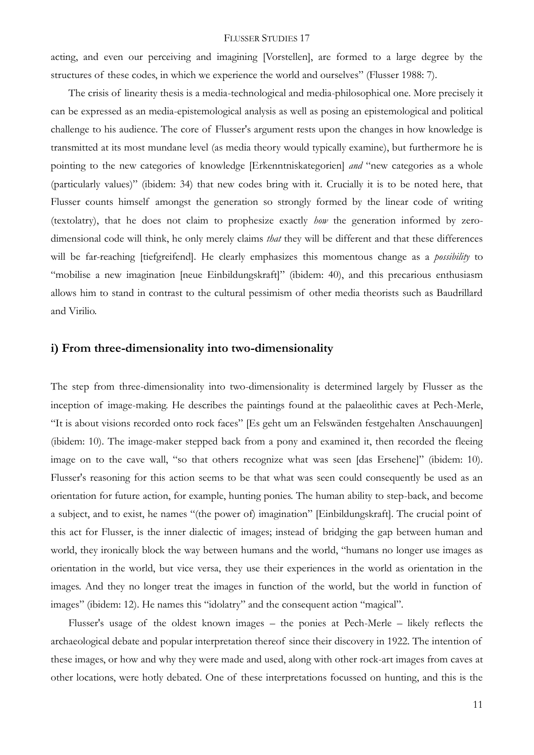acting, and even our perceiving and imagining [Vorstellen], are formed to a large degree by the structures of these codes, in which we experience the world and ourselves" (Flusser 1988: 7).

The crisis of linearity thesis is a media-technological and media-philosophical one. More precisely it can be expressed as an media-epistemological analysis as well as posing an epistemological and political challenge to his audience. The core of Flusser's argument rests upon the changes in how knowledge is transmitted at its most mundane level (as media theory would typically examine), but furthermore he is pointing to the new categories of knowledge [Erkenntniskategorien] *and* "new categories as a whole (particularly values)" (ibidem: 34) that new codes bring with it. Crucially it is to be noted here, that Flusser counts himself amongst the generation so strongly formed by the linear code of writing (textolatry), that he does not claim to prophesize exactly *how* the generation informed by zerodimensional code will think, he only merely claims *that* they will be different and that these differences will be far-reaching [tiefgreifend]. He clearly emphasizes this momentous change as a *possibility* to "mobilise a new imagination [neue Einbildungskraft]" (ibidem: 40), and this precarious enthusiasm allows him to stand in contrast to the cultural pessimism of other media theorists such as Baudrillard and Virilio.

# **i) From three-dimensionality into two-dimensionality**

The step from three-dimensionality into two-dimensionality is determined largely by Flusser as the inception of image-making. He describes the paintings found at the palaeolithic caves at Pech-Merle, "It is about visions recorded onto rock faces" [Es geht um an Felswänden festgehalten Anschauungen] (ibidem: 10). The image-maker stepped back from a pony and examined it, then recorded the fleeing image on to the cave wall, "so that others recognize what was seen [das Ersehene]" (ibidem: 10). Flusser's reasoning for this action seems to be that what was seen could consequently be used as an orientation for future action, for example, hunting ponies. The human ability to step-back, and become a subject, and to exist, he names "(the power of) imagination" [Einbildungskraft]. The crucial point of this act for Flusser, is the inner dialectic of images; instead of bridging the gap between human and world, they ironically block the way between humans and the world, "humans no longer use images as orientation in the world, but vice versa, they use their experiences in the world as orientation in the images. And they no longer treat the images in function of the world, but the world in function of images" (ibidem: 12). He names this "idolatry" and the consequent action "magical".

Flusser's usage of the oldest known images – the ponies at Pech-Merle – likely reflects the archaeological debate and popular interpretation thereof since their discovery in 1922. The intention of these images, or how and why they were made and used, along with other rock-art images from caves at other locations, were hotly debated. One of these interpretations focussed on hunting, and this is the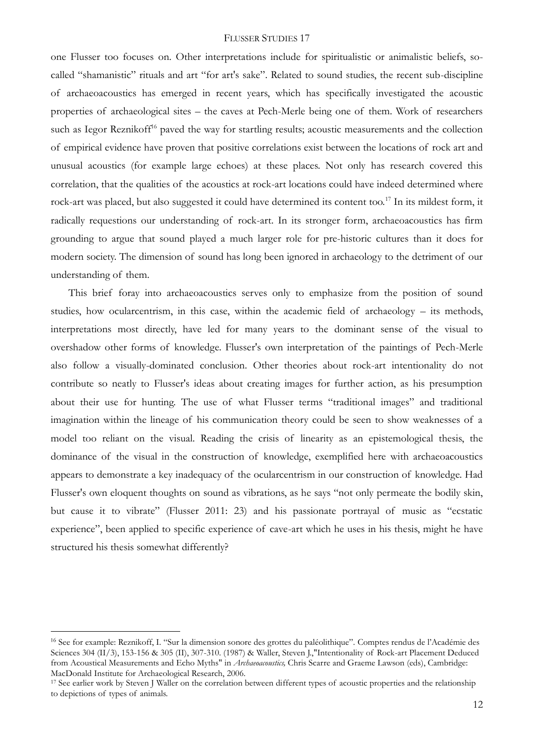one Flusser too focuses on. Other interpretations include for spiritualistic or animalistic beliefs, socalled "shamanistic" rituals and art "for art's sake". Related to sound studies, the recent sub-discipline of archaeoacoustics has emerged in recent years, which has specifically investigated the acoustic properties of archaeological sites – the caves at Pech-Merle being one of them. Work of researchers such as Iegor Reznikoff<sup>16</sup> paved the way for startling results; acoustic measurements and the collection of empirical evidence have proven that positive correlations exist between the locations of rock art and unusual acoustics (for example large echoes) at these places. Not only has research covered this correlation, that the qualities of the acoustics at rock-art locations could have indeed determined where rock-art was placed, but also suggested it could have determined its content too.<sup>17</sup> In its mildest form, it radically requestions our understanding of rock-art. In its stronger form, archaeoacoustics has firm grounding to argue that sound played a much larger role for pre-historic cultures than it does for modern society. The dimension of sound has long been ignored in archaeology to the detriment of our understanding of them.

This brief foray into archaeoacoustics serves only to emphasize from the position of sound studies, how ocularcentrism, in this case, within the academic field of archaeology – its methods, interpretations most directly, have led for many years to the dominant sense of the visual to overshadow other forms of knowledge. Flusser's own interpretation of the paintings of Pech-Merle also follow a visually-dominated conclusion. Other theories about rock-art intentionality do not contribute so neatly to Flusser's ideas about creating images for further action, as his presumption about their use for hunting. The use of what Flusser terms "traditional images" and traditional imagination within the lineage of his communication theory could be seen to show weaknesses of a model too reliant on the visual. Reading the crisis of linearity as an epistemological thesis, the dominance of the visual in the construction of knowledge, exemplified here with archaeoacoustics appears to demonstrate a key inadequacy of the ocularcentrism in our construction of knowledge. Had Flusser's own eloquent thoughts on sound as vibrations, as he says "not only permeate the bodily skin, but cause it to vibrate" (Flusser 2011: 23) and his passionate portrayal of music as "ecstatic experience", been applied to specific experience of cave-art which he uses in his thesis, might he have structured his thesis somewhat differently?

<sup>&</sup>lt;sup>16</sup> See for example: Reznikoff, I. "Sur la dimension sonore des grottes du paléolithique". Comptes rendus de l'Académie des Sciences 304 (II/3), 153-156 & 305 (II), 307-310. (1987) & Waller, Steven J., "Intentionality of Rock-art Placement Deduced from Acoustical Measurements and Echo Myths" in *Archaeoacoustics,* Chris Scarre and Graeme Lawson (eds), Cambridge: MacDonald Institute for Archaeological Research, 2006.

<sup>&</sup>lt;sup>17</sup> See earlier work by Steven J Waller on the correlation between different types of acoustic properties and the relationship to depictions of types of animals.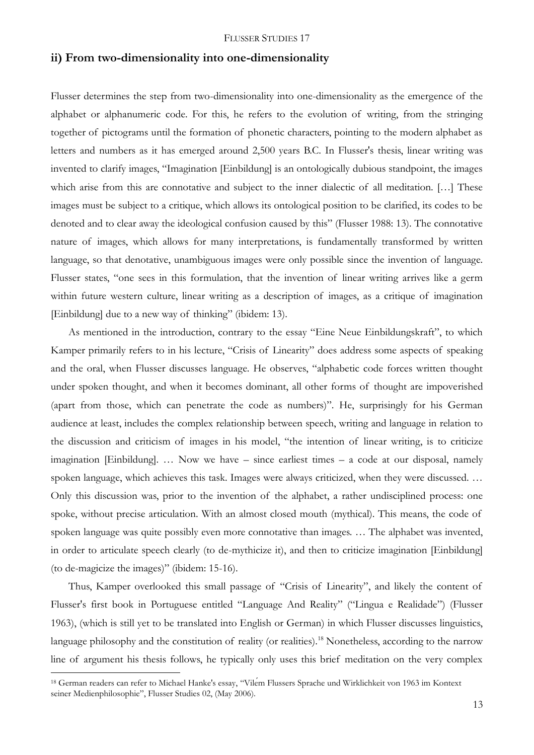### **ii) From two-dimensionality into one-dimensionality**

Flusser determines the step from two-dimensionality into one-dimensionality as the emergence of the alphabet or alphanumeric code. For this, he refers to the evolution of writing, from the stringing together of pictograms until the formation of phonetic characters, pointing to the modern alphabet as letters and numbers as it has emerged around 2,500 years B.C. In Flusser's thesis, linear writing was invented to clarify images, "Imagination [Einbildung] is an ontologically dubious standpoint, the images which arise from this are connotative and subject to the inner dialectic of all meditation. [...] These images must be subject to a critique, which allows its ontological position to be clarified, its codes to be denoted and to clear away the ideological confusion caused by this" (Flusser 1988: 13). The connotative nature of images, which allows for many interpretations, is fundamentally transformed by written language, so that denotative, unambiguous images were only possible since the invention of language. Flusser states, "one sees in this formulation, that the invention of linear writing arrives like a germ within future western culture, linear writing as a description of images, as a critique of imagination [Einbildung] due to a new way of thinking" (ibidem: 13).

As mentioned in the introduction, contrary to the essay "Eine Neue Einbildungskraft", to which Kamper primarily refers to in his lecture, "Crisis of Linearity" does address some aspects of speaking and the oral, when Flusser discusses language. He observes, "alphabetic code forces written thought under spoken thought, and when it becomes dominant, all other forms of thought are impoverished (apart from those, which can penetrate the code as numbers)". He, surprisingly for his German audience at least, includes the complex relationship between speech, writing and language in relation to the discussion and criticism of images in his model, "the intention of linear writing, is to criticize imagination [Einbildung]. … Now we have – since earliest times – a code at our disposal, namely spoken language, which achieves this task. Images were always criticized, when they were discussed. … Only this discussion was, prior to the invention of the alphabet, a rather undisciplined process: one spoke, without precise articulation. With an almost closed mouth (mythical). This means, the code of spoken language was quite possibly even more connotative than images. … The alphabet was invented, in order to articulate speech clearly (to de-mythicize it), and then to criticize imagination [Einbildung] (to de-magicize the images)" (ibidem: 15-16).

Thus, Kamper overlooked this small passage of "Crisis of Linearity", and likely the content of Flusser's first book in Portuguese entitled "Language And Reality" ("Lingua e Realidade") (Flusser 1963), (which is still yet to be translated into English or German) in which Flusser discusses linguistics, language philosophy and the constitution of reality (or realities).<sup>18</sup> Nonetheless, according to the narrow line of argument his thesis follows, he typically only uses this brief meditation on the very complex

<sup>18</sup> German readers can refer to Michael Hanke's essay, "Vilém Flussers Sprache und Wirklichkeit von 1963 im Kontext seiner Medienphilosophie", Flusser Studies 02, (May 2006).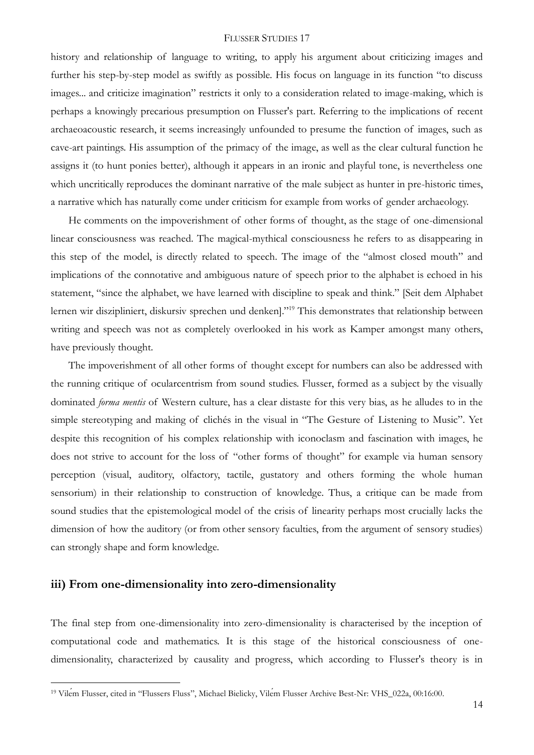history and relationship of language to writing, to apply his argument about criticizing images and further his step-by-step model as swiftly as possible. His focus on language in its function "to discuss images... and criticize imagination" restricts it only to a consideration related to image-making, which is perhaps a knowingly precarious presumption on Flusser's part. Referring to the implications of recent archaeoacoustic research, it seems increasingly unfounded to presume the function of images, such as cave-art paintings. His assumption of the primacy of the image, as well as the clear cultural function he assigns it (to hunt ponies better), although it appears in an ironic and playful tone, is nevertheless one which uncritically reproduces the dominant narrative of the male subject as hunter in pre-historic times, a narrative which has naturally come under criticism for example from works of gender archaeology.

He comments on the impoverishment of other forms of thought, as the stage of one-dimensional linear consciousness was reached. The magical-mythical consciousness he refers to as disappearing in this step of the model, is directly related to speech. The image of the "almost closed mouth" and implications of the connotative and ambiguous nature of speech prior to the alphabet is echoed in his statement, "since the alphabet, we have learned with discipline to speak and think." [Seit dem Alphabet lernen wir diszipliniert, diskursiv sprechen und denken]."<sup>19</sup> This demonstrates that relationship between writing and speech was not as completely overlooked in his work as Kamper amongst many others, have previously thought.

The impoverishment of all other forms of thought except for numbers can also be addressed with the running critique of ocularcentrism from sound studies. Flusser, formed as a subject by the visually dominated *forma mentis* of Western culture, has a clear distaste for this very bias, as he alludes to in the simple stereotyping and making of clichés in the visual in "The Gesture of Listening to Music". Yet despite this recognition of his complex relationship with iconoclasm and fascination with images, he does not strive to account for the loss of "other forms of thought" for example via human sensory perception (visual, auditory, olfactory, tactile, gustatory and others forming the whole human sensorium) in their relationship to construction of knowledge. Thus, a critique can be made from sound studies that the epistemological model of the crisis of linearity perhaps most crucially lacks the dimension of how the auditory (or from other sensory faculties, from the argument of sensory studies) can strongly shape and form knowledge.

# **iii) From one-dimensionality into zero-dimensionality**

1

The final step from one-dimensionality into zero-dimensionality is characterised by the inception of computational code and mathematics. It is this stage of the historical consciousness of onedimensionality, characterized by causality and progress, which according to Flusser's theory is in

<sup>19</sup> Vilém Flusser, cited in "Flussers Fluss", Michael Bielicky, Vilém Flusser Archive Best-Nr: VHS\_022a, 00:16:00.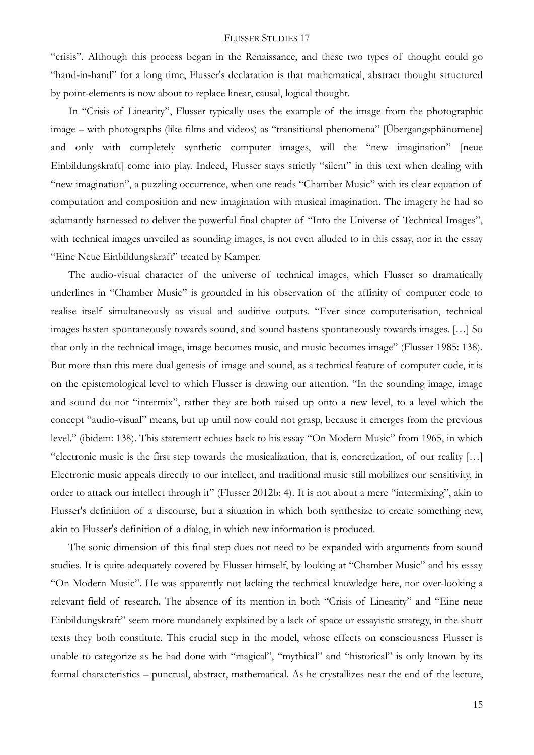"crisis". Although this process began in the Renaissance, and these two types of thought could go "hand-in-hand" for a long time, Flusser's declaration is that mathematical, abstract thought structured by point-elements is now about to replace linear, causal, logical thought.

In "Crisis of Linearity", Flusser typically uses the example of the image from the photographic image – with photographs (like films and videos) as "transitional phenomena" [Übergangsphänomene] and only with completely synthetic computer images, will the "new imagination" [neue Einbildungskraft] come into play. Indeed, Flusser stays strictly "silent" in this text when dealing with "new imagination", a puzzling occurrence, when one reads "Chamber Music" with its clear equation of computation and composition and new imagination with musical imagination. The imagery he had so adamantly harnessed to deliver the powerful final chapter of "Into the Universe of Technical Images", with technical images unveiled as sounding images, is not even alluded to in this essay, nor in the essay "Eine Neue Einbildungskraft" treated by Kamper.

The audio-visual character of the universe of technical images, which Flusser so dramatically underlines in "Chamber Music" is grounded in his observation of the affinity of computer code to realise itself simultaneously as visual and auditive outputs. "Ever since computerisation, technical images hasten spontaneously towards sound, and sound hastens spontaneously towards images. […] So that only in the technical image, image becomes music, and music becomes image" (Flusser 1985: 138). But more than this mere dual genesis of image and sound, as a technical feature of computer code, it is on the epistemological level to which Flusser is drawing our attention. "In the sounding image, image and sound do not "intermix", rather they are both raised up onto a new level, to a level which the concept "audio-visual" means, but up until now could not grasp, because it emerges from the previous level." (ibidem: 138). This statement echoes back to his essay "On Modern Music" from 1965, in which "electronic music is the first step towards the musicalization, that is, concretization, of our reality […] Electronic music appeals directly to our intellect, and traditional music still mobilizes our sensitivity, in order to attack our intellect through it" (Flusser 2012b: 4). It is not about a mere "intermixing", akin to Flusser's definition of a discourse, but a situation in which both synthesize to create something new, akin to Flusser's definition of a dialog, in which new information is produced.

The sonic dimension of this final step does not need to be expanded with arguments from sound studies. It is quite adequately covered by Flusser himself, by looking at "Chamber Music" and his essay "On Modern Music". He was apparently not lacking the technical knowledge here, nor over-looking a relevant field of research. The absence of its mention in both "Crisis of Linearity" and "Eine neue Einbildungskraft" seem more mundanely explained by a lack of space or essayistic strategy, in the short texts they both constitute. This crucial step in the model, whose effects on consciousness Flusser is unable to categorize as he had done with "magical", "mythical" and "historical" is only known by its formal characteristics – punctual, abstract, mathematical. As he crystallizes near the end of the lecture,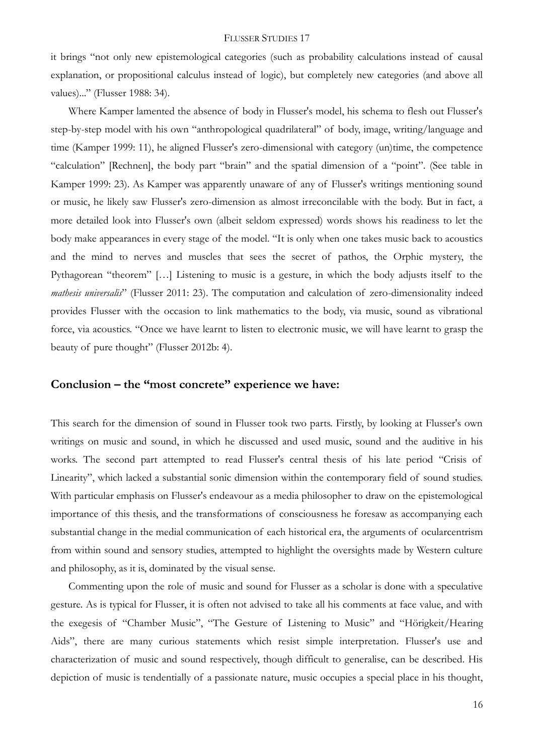it brings "not only new epistemological categories (such as probability calculations instead of causal explanation, or propositional calculus instead of logic), but completely new categories (and above all values)..." (Flusser 1988: 34).

Where Kamper lamented the absence of body in Flusser's model, his schema to flesh out Flusser's step-by-step model with his own "anthropological quadrilateral" of body, image, writing/language and time (Kamper 1999: 11), he aligned Flusser's zero-dimensional with category (un)time, the competence "calculation" [Rechnen], the body part "brain" and the spatial dimension of a "point". (See table in Kamper 1999: 23). As Kamper was apparently unaware of any of Flusser's writings mentioning sound or music, he likely saw Flusser's zero-dimension as almost irreconcilable with the body. But in fact, a more detailed look into Flusser's own (albeit seldom expressed) words shows his readiness to let the body make appearances in every stage of the model. "It is only when one takes music back to acoustics and the mind to nerves and muscles that sees the secret of pathos, the Orphic mystery, the Pythagorean "theorem" […] Listening to music is a gesture, in which the body adjusts itself to the *mathesis universalis*" (Flusser 2011: 23). The computation and calculation of zero-dimensionality indeed provides Flusser with the occasion to link mathematics to the body, via music, sound as vibrational force, via acoustics. "Once we have learnt to listen to electronic music, we will have learnt to grasp the beauty of pure thought" (Flusser 2012b: 4).

# **Conclusion – the "most concrete" experience we have:**

This search for the dimension of sound in Flusser took two parts. Firstly, by looking at Flusser's own writings on music and sound, in which he discussed and used music, sound and the auditive in his works. The second part attempted to read Flusser's central thesis of his late period "Crisis of Linearity", which lacked a substantial sonic dimension within the contemporary field of sound studies. With particular emphasis on Flusser's endeavour as a media philosopher to draw on the epistemological importance of this thesis, and the transformations of consciousness he foresaw as accompanying each substantial change in the medial communication of each historical era, the arguments of ocularcentrism from within sound and sensory studies, attempted to highlight the oversights made by Western culture and philosophy, as it is, dominated by the visual sense.

Commenting upon the role of music and sound for Flusser as a scholar is done with a speculative gesture. As is typical for Flusser, it is often not advised to take all his comments at face value, and with the exegesis of "Chamber Music", "The Gesture of Listening to Music" and "Hörigkeit/Hearing Aids", there are many curious statements which resist simple interpretation. Flusser's use and characterization of music and sound respectively, though difficult to generalise, can be described. His depiction of music is tendentially of a passionate nature, music occupies a special place in his thought,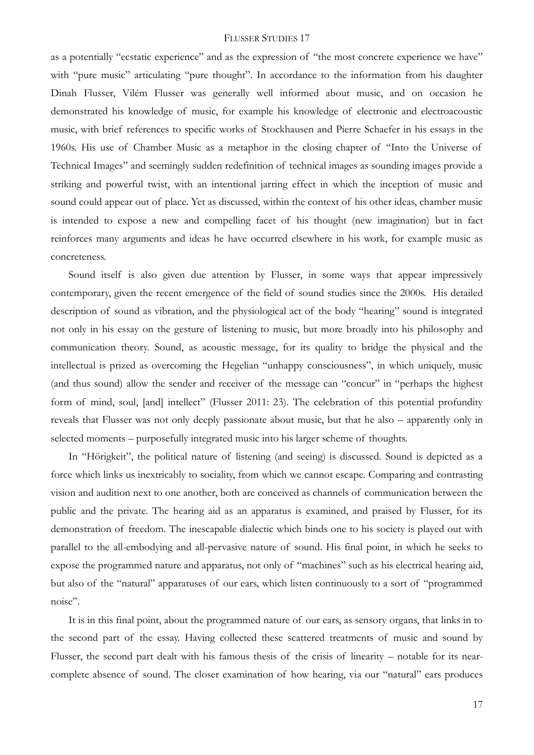as a potentially "ecstatic experience" and as the expression of "the most concrete experience we have" with "pure music" articulating "pure thought". In accordance to the information from his daughter Dinah Flusser, Vilém Flusser was generally well informed about music, and on occasion he demonstrated his knowledge of music, for example his knowledge of electronic and electroacoustic music, with brief references to specific works of Stockhausen and Pierre Schaefer in his essays in the 1960s. His use of Chamber Music as a metaphor in the closing chapter of "Into the Universe of Technical Images" and seemingly sudden redefinition of technical images as sounding images provide a striking and powerful twist, with an intentional jarring effect in which the inception of music and sound could appear out of place. Yet as discussed, within the context of his other ideas, chamber music is intended to expose a new and compelling facet of his thought (new imagination) but in fact reinforces many arguments and ideas he have occurred elsewhere in his work, for example music as concreteness.

Sound itself is also given due attention by Flusser, in some ways that appear impressively contemporary, given the recent emergence of the field of sound studies since the 2000s. His detailed description of sound as vibration, and the physiological act of the body "hearing" sound is integrated not only in his essay on the gesture of listening to music, but more broadly into his philosophy and communication theory. Sound, as acoustic message, for its quality to bridge the physical and the intellectual is prized as overcoming the Hegelian "unhappy consciousness", in which uniquely, music (and thus sound) allow the sender and receiver of the message can "concur" in "perhaps the highest form of mind, soul, [and] intellect" (Flusser 2011: 23). The celebration of this potential profundity reveals that Flusser was not only deeply passionate about music, but that he also – apparently only in selected moments – purposefully integrated music into his larger scheme of thoughts.

In "Hörigkeit", the political nature of listening (and seeing) is discussed. Sound is depicted as a force which links us inextricably to sociality, from which we cannot escape. Comparing and contrasting vision and audition next to one another, both are conceived as channels of communication between the public and the private. The hearing aid as an apparatus is examined, and praised by Flusser, for its demonstration of freedom. The inescapable dialectic which binds one to his society is played out with parallel to the all-embodying and all-pervasive nature of sound. His final point, in which he seeks to expose the programmed nature and apparatus, not only of "machines" such as his electrical hearing aid, but also of the "natural" apparatuses of our ears, which listen continuously to a sort of "programmed noise".

It is in this final point, about the programmed nature of our ears, as sensory organs, that links in to the second part of the essay. Having collected these scattered treatments of music and sound by Flusser, the second part dealt with his famous thesis of the crisis of linearity – notable for its nearcomplete absence of sound. The closer examination of how hearing, via our "natural" ears produces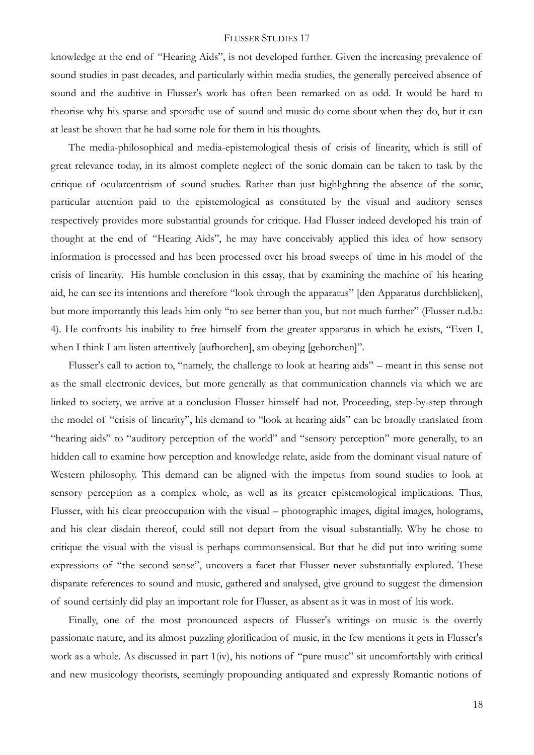knowledge at the end of "Hearing Aids", is not developed further. Given the increasing prevalence of sound studies in past decades, and particularly within media studies, the generally perceived absence of sound and the auditive in Flusser's work has often been remarked on as odd. It would be hard to theorise why his sparse and sporadic use of sound and music do come about when they do, but it can at least be shown that he had some role for them in his thoughts.

The media-philosophical and media-epistemological thesis of crisis of linearity, which is still of great relevance today, in its almost complete neglect of the sonic domain can be taken to task by the critique of ocularcentrism of sound studies. Rather than just highlighting the absence of the sonic, particular attention paid to the epistemological as constituted by the visual and auditory senses respectively provides more substantial grounds for critique. Had Flusser indeed developed his train of thought at the end of "Hearing Aids", he may have conceivably applied this idea of how sensory information is processed and has been processed over his broad sweeps of time in his model of the crisis of linearity. His humble conclusion in this essay, that by examining the machine of his hearing aid, he can see its intentions and therefore "look through the apparatus" [den Apparatus durchblicken], but more importantly this leads him only "to see better than you, but not much further" (Flusser n.d.b.: 4). He confronts his inability to free himself from the greater apparatus in which he exists, "Even I, when I think I am listen attentively [aufhorchen], am obeying [gehorchen]".

Flusser's call to action to, "namely, the challenge to look at hearing aids" – meant in this sense not as the small electronic devices, but more generally as that communication channels via which we are linked to society, we arrive at a conclusion Flusser himself had not. Proceeding, step-by-step through the model of "crisis of linearity", his demand to "look at hearing aids" can be broadly translated from "hearing aids" to "auditory perception of the world" and "sensory perception" more generally, to an hidden call to examine how perception and knowledge relate, aside from the dominant visual nature of Western philosophy. This demand can be aligned with the impetus from sound studies to look at sensory perception as a complex whole, as well as its greater epistemological implications. Thus, Flusser, with his clear preoccupation with the visual – photographic images, digital images, holograms, and his clear disdain thereof, could still not depart from the visual substantially. Why he chose to critique the visual with the visual is perhaps commonsensical. But that he did put into writing some expressions of "the second sense", uncovers a facet that Flusser never substantially explored. These disparate references to sound and music, gathered and analysed, give ground to suggest the dimension of sound certainly did play an important role for Flusser, as absent as it was in most of his work.

Finally, one of the most pronounced aspects of Flusser's writings on music is the overtly passionate nature, and its almost puzzling glorification of music, in the few mentions it gets in Flusser's work as a whole. As discussed in part 1(iv), his notions of "pure music" sit uncomfortably with critical and new musicology theorists, seemingly propounding antiquated and expressly Romantic notions of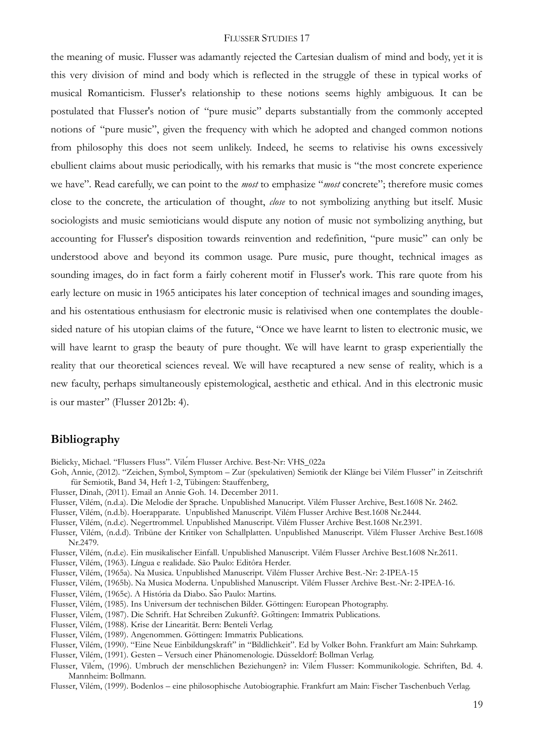the meaning of music. Flusser was adamantly rejected the Cartesian dualism of mind and body, yet it is this very division of mind and body which is reflected in the struggle of these in typical works of musical Romanticism. Flusser's relationship to these notions seems highly ambiguous. It can be postulated that Flusser's notion of "pure music" departs substantially from the commonly accepted notions of "pure music", given the frequency with which he adopted and changed common notions from philosophy this does not seem unlikely. Indeed, he seems to relativise his owns excessively ebullient claims about music periodically, with his remarks that music is "the most concrete experience we have". Read carefully, we can point to the *most* to emphasize "*most* concrete"; therefore music comes close to the concrete, the articulation of thought, *close* to not symbolizing anything but itself. Music sociologists and music semioticians would dispute any notion of music not symbolizing anything, but accounting for Flusser's disposition towards reinvention and redefinition, "pure music" can only be understood above and beyond its common usage. Pure music, pure thought, technical images as sounding images, do in fact form a fairly coherent motif in Flusser's work. This rare quote from his early lecture on music in 1965 anticipates his later conception of technical images and sounding images, and his ostentatious enthusiasm for electronic music is relativised when one contemplates the doublesided nature of his utopian claims of the future, "Once we have learnt to listen to electronic music, we will have learnt to grasp the beauty of pure thought. We will have learnt to grasp experientially the reality that our theoretical sciences reveal. We will have recaptured a new sense of reality, which is a new faculty, perhaps simultaneously epistemological, aesthetic and ethical. And in this electronic music is our master" (Flusser 2012b: 4).

### **Bibliography**

Bielicky, Michael. "Flussers Fluss". Vilém Flusser Archive. Best-Nr: VHS\_022a

- Goh, Annie, (2012). "Zeichen, Symbol, Symptom Zur (spekulativen) Semiotik der Klänge bei Vilém Flusser" in Zeitschrift für Semiotik, Band 34, Heft 1-2, Tübingen: Stauffenberg,
- Flusser, Dinah, (2011). Email an Annie Goh. 14. December 2011.
- Flusser, Vilém, (n.d.a). Die Melodie der Sprache. Unpublished Manucript. Vilém Flusser Archive, Best.1608 Nr. 2462.
- Flusser, Vilém, (n.d.b). Hoerapparate. Unpublished Manuscript. Vilém Flusser Archive Best.1608 Nr.2444.
- Flusser, Vilém, (n.d.c). Negertrommel. Unpublished Manuscript. Vilém Flusser Archive Best.1608 Nr.2391.
- Flusser, Vilém, (n.d.d). Tribüne der Kritiker von Schallplatten. Unpublished Manuscript. Vilém Flusser Archive Best.1608 Nr.2479.
- Flusser, Vilém, (n.d.e). Ein musikalischer Einfall. Unpublished Manuscript. Vilém Flusser Archive Best.1608 Nr.2611.
- Flusser, Vilém, (1963). Língua e realidade. São Paulo: Editôra Herder.
- Flusser, Vilém, (1965a). Na Musica. Unpublished Manuscript. Vilém Flusser Archive Best.-Nr: 2-IPEA-15
- Flusser, Vilém, (1965b). Na Musica Moderna. Unpublished Manuscript. Vilém Flusser Archive Best.-Nr: 2-IPEA-16.
- Flusser, Vilém, (1965c). A História da Diabo. São Paulo: Martins.
- Flusser, Vilém, (1985). Ins Universum der technischen Bilder. Göttingen: European Photography.
- Flusser, Vilém, (1987). Die Schrift. Hat Schreiben Zukunft?. Göttingen: Immatrix Publications.
- Flusser, Vilém, (1988). Krise der Linearität. Bern: Benteli Verlag.
- Flusser, Vilém, (1989). Angenommen. Göttingen: Immatrix Publications.
- Flusser, Vilém, (1990). "Eine Neue Einbildungskraft" in "Bildlichkeit". Ed by Volker Bohn. Frankfurt am Main: Suhrkamp.
- Flusser, Vilém, (1991). Gesten Versuch einer Phänomenologie. Düsseldorf: Bollman Verlag.
- Flusser, Vilém, (1996). Umbruch der menschlichen Beziehungen? in: Vilém Flusser: Kommunikologie. Schriften, Bd. 4. Mannheim: Bollmann.
- Flusser, Vilém, (1999). Bodenlos eine philosophische Autobiographie. Frankfurt am Main: Fischer Taschenbuch Verlag.